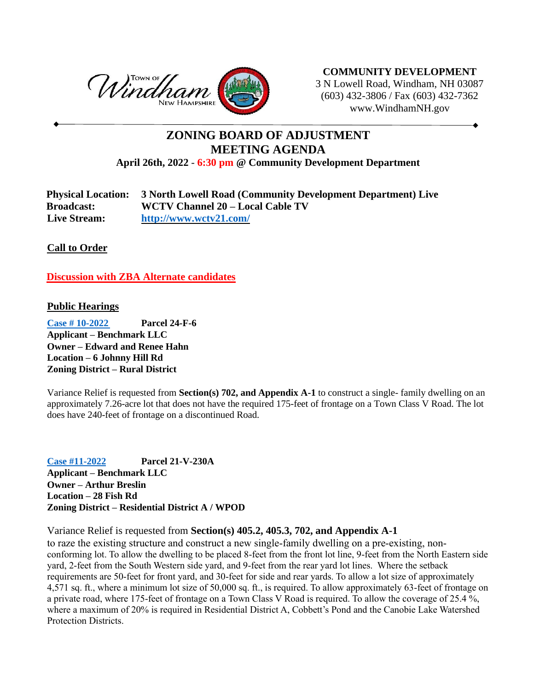

**COMMUNITY DEVELOPMENT** 3 N Lowell Road, Windham, NH 03087 (603) 432-3806 / Fax (603) 432-7362 www.WindhamNH.gov

## **ZONING BOARD OF ADJUSTMENT MEETING AGENDA**

**April 26th, 2022** - **6:30 pm @ Community Development Department**

| <b>Physical Location:</b> | 3 North Lowell Road (Community Development Department) Live |
|---------------------------|-------------------------------------------------------------|
| <b>Broadcast:</b>         | WCTV Channel 20 – Local Cable TV                            |
| <b>Live Stream:</b>       | http://www.wctv21.com/                                      |

**Call to Order** 

**Discussion with ZBA Alternate candidates**

## **Public Hearings**

**[Case # 10-2022](https://www.windhamnh.gov/DocumentCenter/Index/947) Parcel 24-F-6 Applicant – Benchmark LLC Owner – Edward and Renee Hahn Location – 6 Johnny Hill Rd Zoning District – Rural District**

Variance Relief is requested from **Section(s) 702, and Appendix A-1** to construct a single- family dwelling on an approximately 7.26-acre lot that does not have the required 175-feet of frontage on a Town Class V Road. The lot does have 240-feet of frontage on a discontinued Road.

**[Case #11-2022](https://www.windhamnh.gov/DocumentCenter/Index/948) Parcel 21-V-230A Applicant – Benchmark LLC Owner – Arthur Breslin Location – 28 Fish Rd Zoning District – Residential District A / WPOD**

Variance Relief is requested from **Section(s) 405.2, 405.3, 702, and Appendix A-1**

to raze the existing structure and construct a new single-family dwelling on a pre-existing, nonconforming lot. To allow the dwelling to be placed 8-feet from the front lot line, 9-feet from the North Eastern side yard, 2-feet from the South Western side yard, and 9-feet from the rear yard lot lines. Where the setback requirements are 50-feet for front yard, and 30-feet for side and rear yards. To allow a lot size of approximately 4,571 sq. ft., where a minimum lot size of 50,000 sq. ft., is required. To allow approximately 63-feet of frontage on a private road, where 175-feet of frontage on a Town Class V Road is required. To allow the coverage of 25.4 %, where a maximum of 20% is required in Residential District A, Cobbett's Pond and the Canobie Lake Watershed Protection Districts.